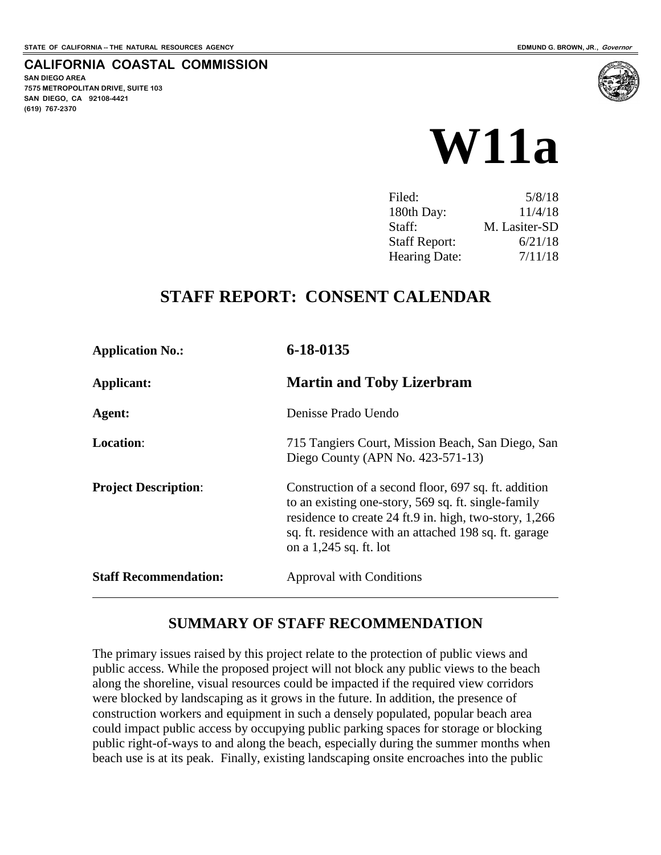**CALIFORNIA COASTAL COMMISSION**

**SAN DIEGO AREA 7575 METROPOLITAN DRIVE, SUITE 103 SAN DIEGO, CA 92108-4421 (619) 767-2370**



| Filed:               | 5/8/18        |
|----------------------|---------------|
| 180th Day:           | 11/4/18       |
| Staff:               | M. Lasiter-SD |
| <b>Staff Report:</b> | 6/21/18       |
| <b>Hearing Date:</b> | 7/11/18       |

## **STAFF REPORT: CONSENT CALENDAR**

| <b>Application No.:</b>      | 6-18-0135                                                                                                                                                                                                                                                |
|------------------------------|----------------------------------------------------------------------------------------------------------------------------------------------------------------------------------------------------------------------------------------------------------|
| Applicant:                   | <b>Martin and Toby Lizerbram</b>                                                                                                                                                                                                                         |
| Agent:                       | Denisse Prado Uendo                                                                                                                                                                                                                                      |
| <b>Location:</b>             | 715 Tangiers Court, Mission Beach, San Diego, San<br>Diego County (APN No. 423-571-13)                                                                                                                                                                   |
| <b>Project Description:</b>  | Construction of a second floor, 697 sq. ft. addition<br>to an existing one-story, 569 sq. ft. single-family<br>residence to create 24 ft.9 in. high, two-story, 1,266<br>sq. ft. residence with an attached 198 sq. ft. garage<br>on a 1,245 sq. ft. lot |
| <b>Staff Recommendation:</b> | Approval with Conditions                                                                                                                                                                                                                                 |

#### **SUMMARY OF STAFF RECOMMENDATION**

The primary issues raised by this project relate to the protection of public views and public access. While the proposed project will not block any public views to the beach along the shoreline, visual resources could be impacted if the required view corridors were blocked by landscaping as it grows in the future. In addition, the presence of construction workers and equipment in such a densely populated, popular beach area could impact public access by occupying public parking spaces for storage or blocking public right-of-ways to and along the beach, especially during the summer months when beach use is at its peak. Finally, existing landscaping onsite encroaches into the public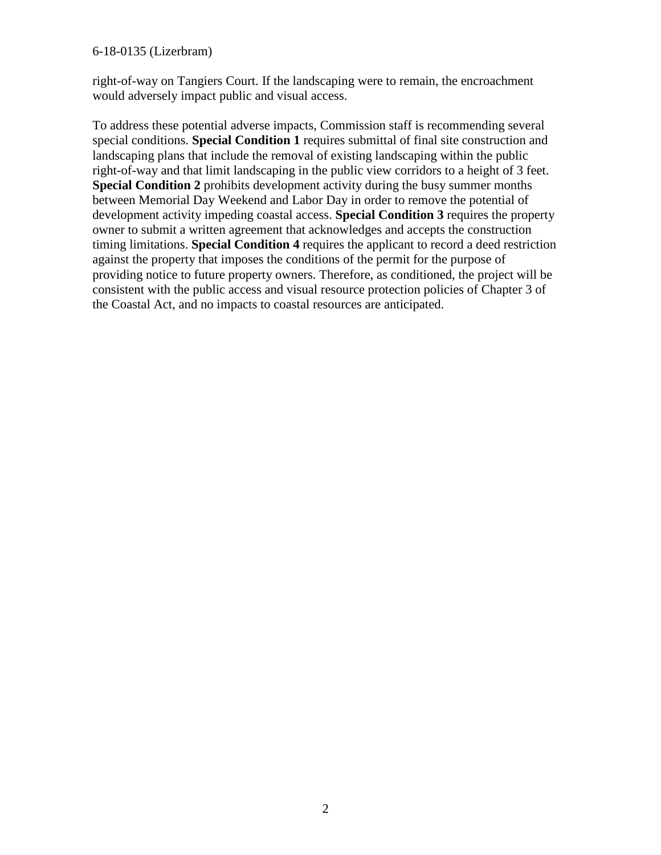#### 6-18-0135 (Lizerbram)

right-of-way on Tangiers Court. If the landscaping were to remain, the encroachment would adversely impact public and visual access.

To address these potential adverse impacts, Commission staff is recommending several special conditions. **Special Condition 1** requires submittal of final site construction and landscaping plans that include the removal of existing landscaping within the public right-of-way and that limit landscaping in the public view corridors to a height of 3 feet. **Special Condition 2** prohibits development activity during the busy summer months between Memorial Day Weekend and Labor Day in order to remove the potential of development activity impeding coastal access. **Special Condition 3** requires the property owner to submit a written agreement that acknowledges and accepts the construction timing limitations. **Special Condition 4** requires the applicant to record a deed restriction against the property that imposes the conditions of the permit for the purpose of providing notice to future property owners. Therefore, as conditioned, the project will be consistent with the public access and visual resource protection policies of Chapter 3 of the Coastal Act, and no impacts to coastal resources are anticipated.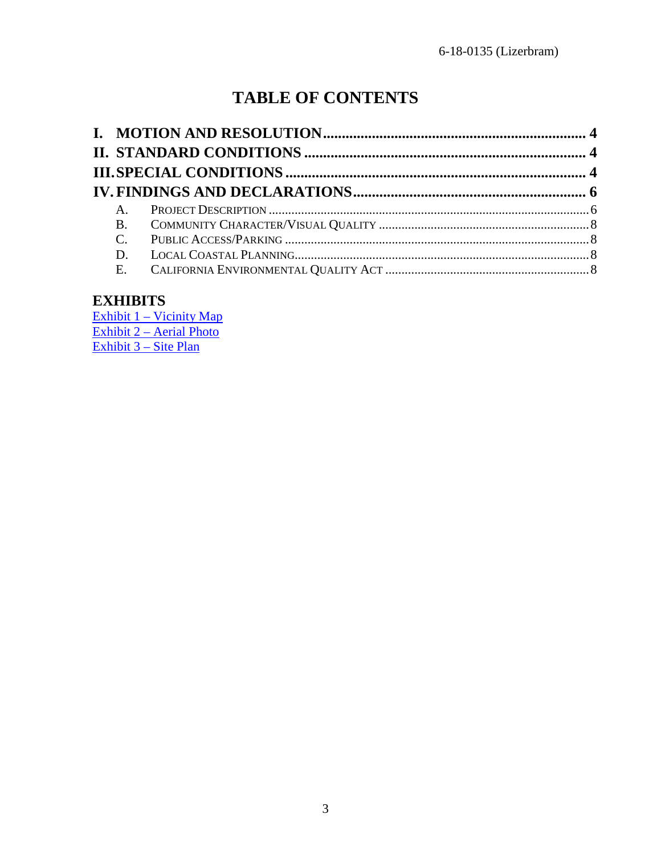# **TABLE OF CONTENTS**

| $A_{1}$ |  |
|---------|--|
|         |  |
|         |  |
|         |  |
|         |  |

## **EXHIBITS**

[Exhibit 1 – Vicinity Map](https://documents.coastal.ca.gov/reports/2018/7/w11a/w11a-7-2018-exhibits.pdf) [Exhibit 2 – Aerial Photo](https://documents.coastal.ca.gov/reports/2018/7/w11a/w11a-7-2018-exhibits.pdf) [Exhibit 3 – Site Plan](https://documents.coastal.ca.gov/reports/2018/7/w11a/w11a-7-2018-exhibits.pdf)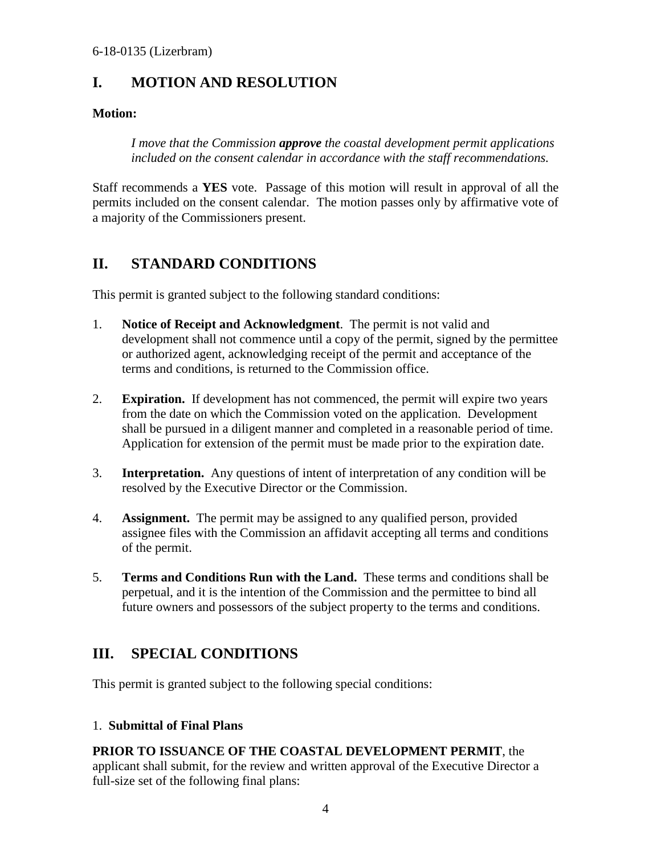## <span id="page-3-0"></span>**I. MOTION AND RESOLUTION**

#### **Motion:**

*I move that the Commission approve the coastal development permit applications included on the consent calendar in accordance with the staff recommendations.* 

Staff recommends a **YES** vote. Passage of this motion will result in approval of all the permits included on the consent calendar. The motion passes only by affirmative vote of a majority of the Commissioners present.

## <span id="page-3-1"></span>**II. STANDARD CONDITIONS**

This permit is granted subject to the following standard conditions:

- 1. **Notice of Receipt and Acknowledgment**. The permit is not valid and development shall not commence until a copy of the permit, signed by the permittee or authorized agent, acknowledging receipt of the permit and acceptance of the terms and conditions, is returned to the Commission office.
- 2. **Expiration.** If development has not commenced, the permit will expire two years from the date on which the Commission voted on the application. Development shall be pursued in a diligent manner and completed in a reasonable period of time. Application for extension of the permit must be made prior to the expiration date.
- 3. **Interpretation.** Any questions of intent of interpretation of any condition will be resolved by the Executive Director or the Commission.
- 4. **Assignment.** The permit may be assigned to any qualified person, provided assignee files with the Commission an affidavit accepting all terms and conditions of the permit.
- 5. **Terms and Conditions Run with the Land.** These terms and conditions shall be perpetual, and it is the intention of the Commission and the permittee to bind all future owners and possessors of the subject property to the terms and conditions.

## <span id="page-3-2"></span>**III. SPECIAL CONDITIONS**

This permit is granted subject to the following special conditions:

#### 1. **Submittal of Final Plans**

## **PRIOR TO ISSUANCE OF THE COASTAL DEVELOPMENT PERMIT**, the

applicant shall submit, for the review and written approval of the Executive Director a full-size set of the following final plans: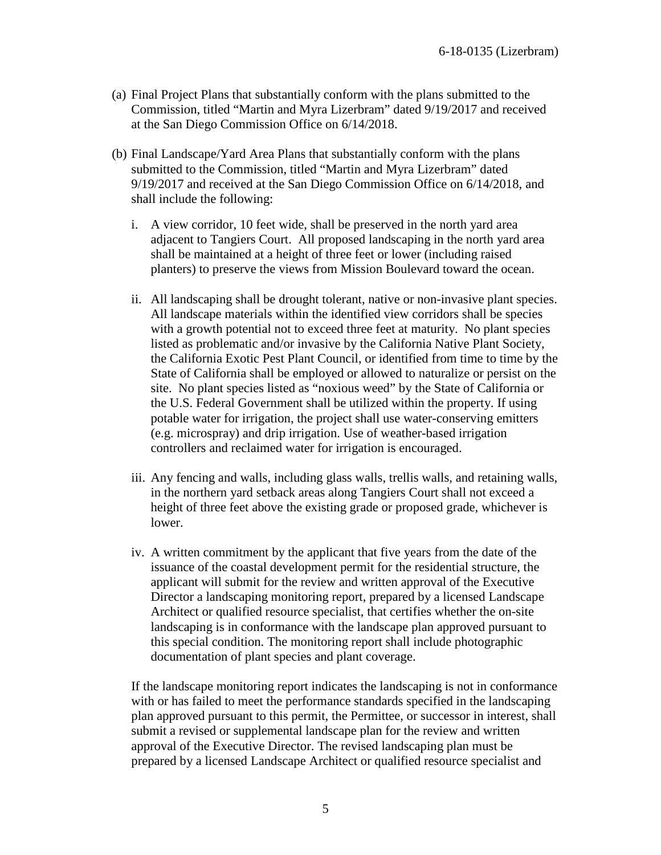- (a) Final Project Plans that substantially conform with the plans submitted to the Commission, titled "Martin and Myra Lizerbram" dated 9/19/2017 and received at the San Diego Commission Office on 6/14/2018.
- (b) Final Landscape/Yard Area Plans that substantially conform with the plans submitted to the Commission, titled "Martin and Myra Lizerbram" dated 9/19/2017 and received at the San Diego Commission Office on 6/14/2018, and shall include the following:
	- i. A view corridor, 10 feet wide, shall be preserved in the north yard area adjacent to Tangiers Court. All proposed landscaping in the north yard area shall be maintained at a height of three feet or lower (including raised planters) to preserve the views from Mission Boulevard toward the ocean.
	- ii. All landscaping shall be drought tolerant, native or non-invasive plant species. All landscape materials within the identified view corridors shall be species with a growth potential not to exceed three feet at maturity. No plant species listed as problematic and/or invasive by the California Native Plant Society, the California Exotic Pest Plant Council, or identified from time to time by the State of California shall be employed or allowed to naturalize or persist on the site. No plant species listed as "noxious weed" by the State of California or the U.S. Federal Government shall be utilized within the property. If using potable water for irrigation, the project shall use water-conserving emitters (e.g. microspray) and drip irrigation. Use of weather-based irrigation controllers and reclaimed water for irrigation is encouraged.
	- iii. Any fencing and walls, including glass walls, trellis walls, and retaining walls, in the northern yard setback areas along Tangiers Court shall not exceed a height of three feet above the existing grade or proposed grade, whichever is lower.
	- iv. A written commitment by the applicant that five years from the date of the issuance of the coastal development permit for the residential structure, the applicant will submit for the review and written approval of the Executive Director a landscaping monitoring report, prepared by a licensed Landscape Architect or qualified resource specialist, that certifies whether the on-site landscaping is in conformance with the landscape plan approved pursuant to this special condition. The monitoring report shall include photographic documentation of plant species and plant coverage.

If the landscape monitoring report indicates the landscaping is not in conformance with or has failed to meet the performance standards specified in the landscaping plan approved pursuant to this permit, the Permittee, or successor in interest, shall submit a revised or supplemental landscape plan for the review and written approval of the Executive Director. The revised landscaping plan must be prepared by a licensed Landscape Architect or qualified resource specialist and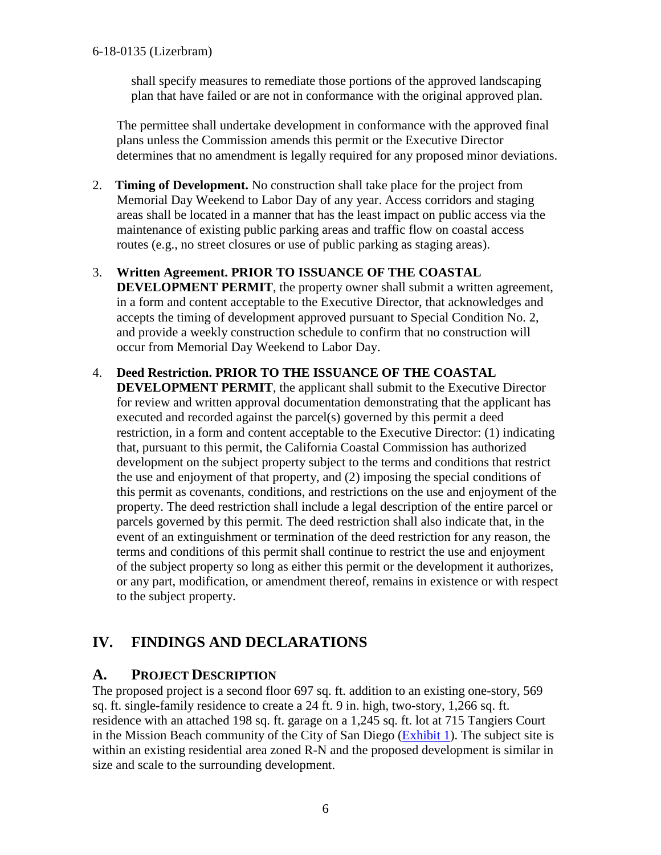shall specify measures to remediate those portions of the approved landscaping plan that have failed or are not in conformance with the original approved plan.

The permittee shall undertake development in conformance with the approved final plans unless the Commission amends this permit or the Executive Director determines that no amendment is legally required for any proposed minor deviations.

- 2. **Timing of Development.** No construction shall take place for the project from Memorial Day Weekend to Labor Day of any year. Access corridors and staging areas shall be located in a manner that has the least impact on public access via the maintenance of existing public parking areas and traffic flow on coastal access routes (e.g., no street closures or use of public parking as staging areas).
- 3. **Written Agreement. PRIOR TO ISSUANCE OF THE COASTAL DEVELOPMENT PERMIT**, the property owner shall submit a written agreement, in a form and content acceptable to the Executive Director, that acknowledges and accepts the timing of development approved pursuant to Special Condition No. 2, and provide a weekly construction schedule to confirm that no construction will occur from Memorial Day Weekend to Labor Day.
- 4. **Deed Restriction. PRIOR TO THE ISSUANCE OF THE COASTAL DEVELOPMENT PERMIT**, the applicant shall submit to the Executive Director for review and written approval documentation demonstrating that the applicant has executed and recorded against the parcel(s) governed by this permit a deed restriction, in a form and content acceptable to the Executive Director: (1) indicating that, pursuant to this permit, the California Coastal Commission has authorized development on the subject property subject to the terms and conditions that restrict the use and enjoyment of that property, and (2) imposing the special conditions of this permit as covenants, conditions, and restrictions on the use and enjoyment of the property. The deed restriction shall include a legal description of the entire parcel or parcels governed by this permit. The deed restriction shall also indicate that, in the event of an extinguishment or termination of the deed restriction for any reason, the terms and conditions of this permit shall continue to restrict the use and enjoyment of the subject property so long as either this permit or the development it authorizes, or any part, modification, or amendment thereof, remains in existence or with respect to the subject property.

## <span id="page-5-0"></span>**IV. FINDINGS AND DECLARATIONS**

#### <span id="page-5-1"></span>**A. PROJECT DESCRIPTION**

The proposed project is a second floor 697 sq. ft. addition to an existing one-story, 569 sq. ft. single-family residence to create a 24 ft. 9 in. high, two-story, 1,266 sq. ft. residence with an attached 198 sq. ft. garage on a 1,245 sq. ft. lot at 715 Tangiers Court in the Mission Beach community of the City of San Diego [\(Exhibit 1\)](https://documents.coastal.ca.gov/reports/2018/7/w11a/w11a-7-2018-exhibits.pdf). The subject site is within an existing residential area zoned R-N and the proposed development is similar in size and scale to the surrounding development.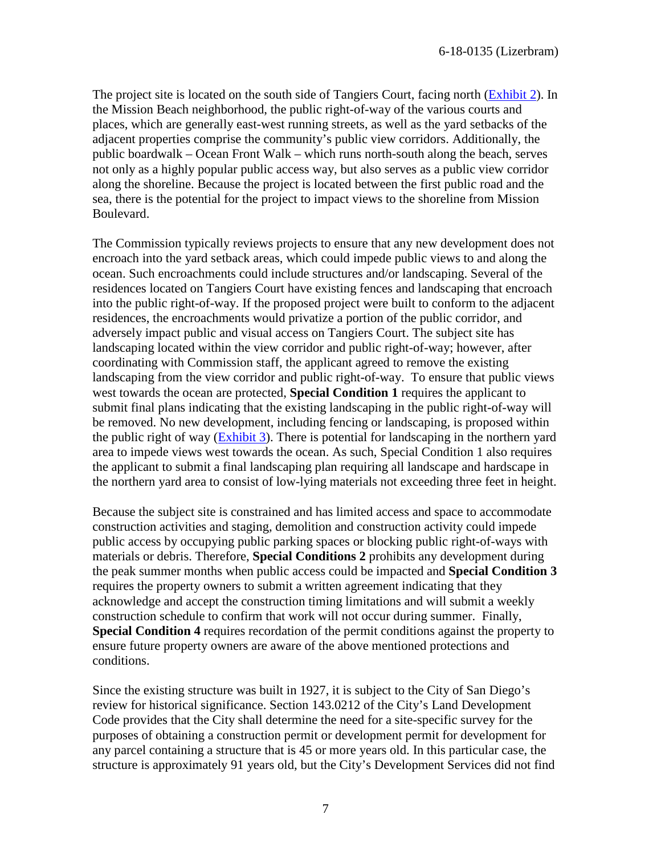The project site is located on the south side of Tangiers Court, facing north (**Exhibit 2**). In the Mission Beach neighborhood, the public right-of-way of the various courts and places, which are generally east-west running streets, as well as the yard setbacks of the adjacent properties comprise the community's public view corridors. Additionally, the public boardwalk – Ocean Front Walk – which runs north-south along the beach, serves not only as a highly popular public access way, but also serves as a public view corridor along the shoreline. Because the project is located between the first public road and the sea, there is the potential for the project to impact views to the shoreline from Mission Boulevard.

The Commission typically reviews projects to ensure that any new development does not encroach into the yard setback areas, which could impede public views to and along the ocean. Such encroachments could include structures and/or landscaping. Several of the residences located on Tangiers Court have existing fences and landscaping that encroach into the public right-of-way. If the proposed project were built to conform to the adjacent residences, the encroachments would privatize a portion of the public corridor, and adversely impact public and visual access on Tangiers Court. The subject site has landscaping located within the view corridor and public right-of-way; however, after coordinating with Commission staff, the applicant agreed to remove the existing landscaping from the view corridor and public right-of-way. To ensure that public views west towards the ocean are protected, **Special Condition 1** requires the applicant to submit final plans indicating that the existing landscaping in the public right-of-way will be removed. No new development, including fencing or landscaping, is proposed within the public right of way [\(Exhibit 3\)](https://documents.coastal.ca.gov/reports/2018/7/w11a/w11a-7-2018-exhibits.pdf). There is potential for landscaping in the northern yard area to impede views west towards the ocean. As such, Special Condition 1 also requires the applicant to submit a final landscaping plan requiring all landscape and hardscape in the northern yard area to consist of low-lying materials not exceeding three feet in height.

Because the subject site is constrained and has limited access and space to accommodate construction activities and staging, demolition and construction activity could impede public access by occupying public parking spaces or blocking public right-of-ways with materials or debris. Therefore, **Special Conditions 2** prohibits any development during the peak summer months when public access could be impacted and **Special Condition 3** requires the property owners to submit a written agreement indicating that they acknowledge and accept the construction timing limitations and will submit a weekly construction schedule to confirm that work will not occur during summer. Finally, **Special Condition 4** requires recordation of the permit conditions against the property to ensure future property owners are aware of the above mentioned protections and conditions.

Since the existing structure was built in 1927, it is subject to the City of San Diego's review for historical significance. Section 143.0212 of the City's Land Development Code provides that the City shall determine the need for a site-specific survey for the purposes of obtaining a construction permit or development permit for development for any parcel containing a structure that is 45 or more years old. In this particular case, the structure is approximately 91 years old, but the City's Development Services did not find